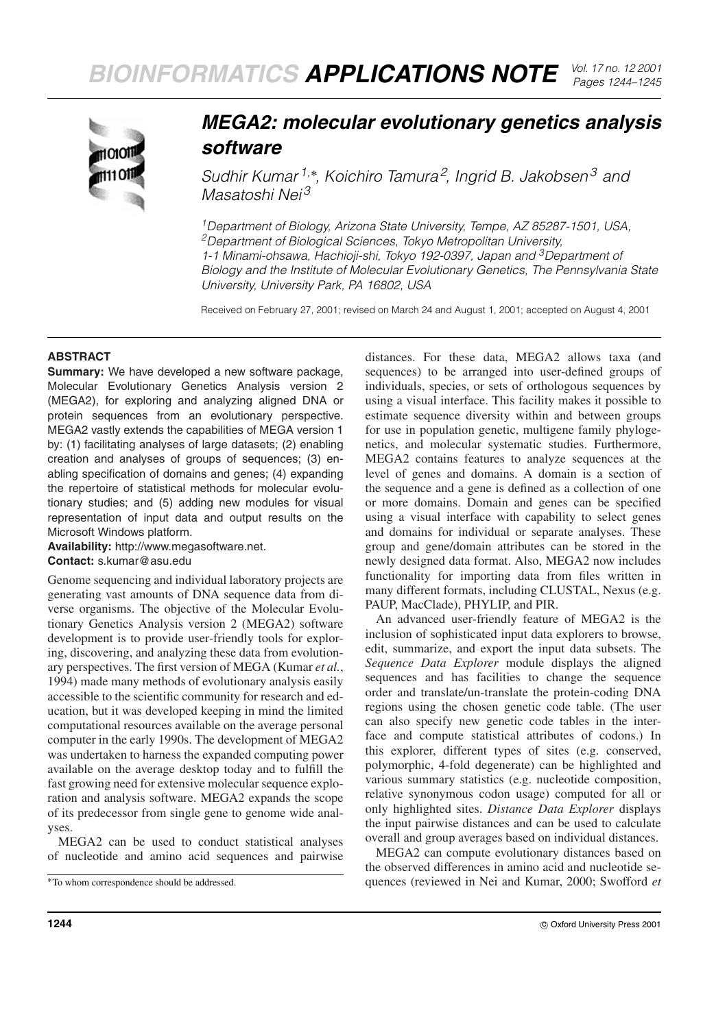

## *MEGA2: molecular evolutionary genetics analysis software*

*Sudhir Kumar 1,*<sup>∗</sup> *, Koichiro Tamura<sup>2</sup> , Ingrid B. Jakobsen<sup>3</sup> and Masatoshi Nei <sup>3</sup>*

*1Department of Biology, Arizona State University, Tempe, AZ 85287-1501, USA, 2Department of Biological Sciences, Tokyo Metropolitan University, 1-1 Minami-ohsawa, Hachioji-shi, Tokyo 192-0397, Japan and 3Department of Biology and the Institute of Molecular Evolutionary Genetics, The Pennsylvania State University, University Park, PA 16802, USA*

Received on February 27, 2001; revised on March 24 and August 1, 2001; accepted on August 4, 2001

## **ABSTRACT**

**Summary:** We have developed a new software package, Molecular Evolutionary Genetics Analysis version 2 (MEGA2), for exploring and analyzing aligned DNA or protein sequences from an evolutionary perspective. MEGA2 vastly extends the capabilities of MEGA version 1 by: (1) facilitating analyses of large datasets; (2) enabling creation and analyses of groups of sequences; (3) enabling specification of domains and genes; (4) expanding the repertoire of statistical methods for molecular evolutionary studies; and (5) adding new modules for visual representation of input data and output results on the Microsoft Windows platform.

**Availability:** http://www.megasoftware.net.

**Contact:** s.kumar@asu.edu

Genome sequencing and individual laboratory projects are generating vast amounts of DNA sequence data from diverse organisms. The objective of the Molecular Evolutionary Genetics Analysis version 2 (MEGA2) software development is to provide user-friendly tools for exploring, discovering, and analyzing these data from evolutionary perspectives. The first version of MEGA (Kumar *et al.*, 1994) made many methods of evolutionary analysis easily accessible to the scientific community for research and education, but it was developed keeping in mind the limited computational resources available on the average personal computer in the early 1990s. The development of MEGA2 was undertaken to harness the expanded computing power available on the average desktop today and to fulfill the fast growing need for extensive molecular sequence exploration and analysis software. MEGA2 expands the scope of its predecessor from single gene to genome wide analyses.

MEGA2 can be used to conduct statistical analyses of nucleotide and amino acid sequences and pairwise distances. For these data, MEGA2 allows taxa (and sequences) to be arranged into user-defined groups of individuals, species, or sets of orthologous sequences by using a visual interface. This facility makes it possible to estimate sequence diversity within and between groups for use in population genetic, multigene family phylogenetics, and molecular systematic studies. Furthermore, MEGA2 contains features to analyze sequences at the level of genes and domains. A domain is a section of the sequence and a gene is defined as a collection of one or more domains. Domain and genes can be specified using a visual interface with capability to select genes and domains for individual or separate analyses. These group and gene/domain attributes can be stored in the newly designed data format. Also, MEGA2 now includes functionality for importing data from files written in many different formats, including CLUSTAL, Nexus (e.g. PAUP, MacClade), PHYLIP, and PIR.

An advanced user-friendly feature of MEGA2 is the inclusion of sophisticated input data explorers to browse, edit, summarize, and export the input data subsets. The *Sequence Data Explorer* module displays the aligned sequences and has facilities to change the sequence order and translate/un-translate the protein-coding DNA regions using the chosen genetic code table. (The user can also specify new genetic code tables in the interface and compute statistical attributes of codons.) In this explorer, different types of sites (e.g. conserved, polymorphic, 4-fold degenerate) can be highlighted and various summary statistics (e.g. nucleotide composition, relative synonymous codon usage) computed for all or only highlighted sites. *Distance Data Explorer* displays the input pairwise distances and can be used to calculate overall and group averages based on individual distances.

MEGA2 can compute evolutionary distances based on the observed differences in amino acid and nucleotide sequences (reviewed in Nei and Kumar, 2000; Swofford *et*

<sup>∗</sup>To whom correspondence should be addressed.